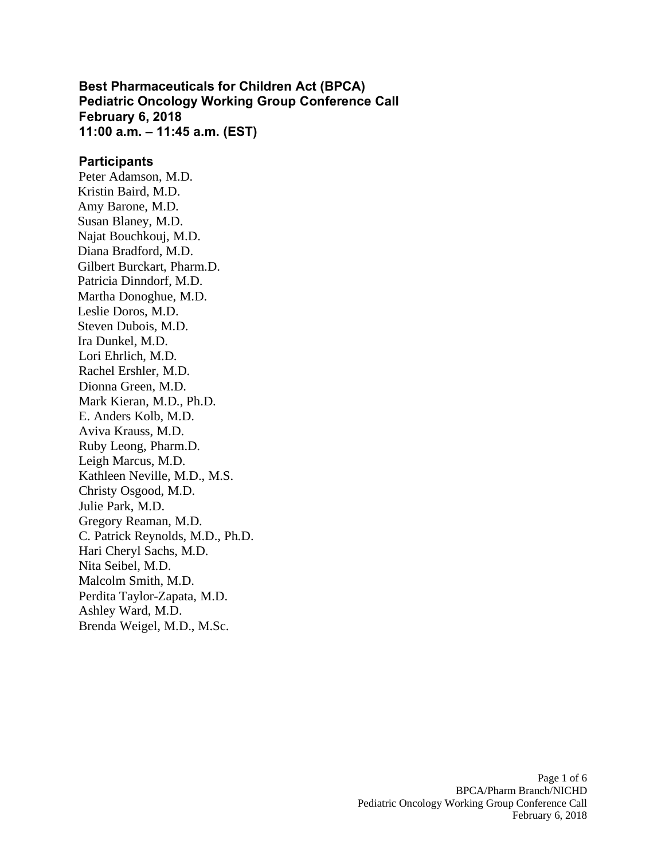**Best Pharmaceuticals for Children Act (BPCA) Pediatric Oncology Working Group Conference Call February 6, 2018 11:00 a.m. – 11:45 a.m. (EST)** 

#### **Participants**

Peter Adamson, M.D. Kristin Baird, M.D. Amy Barone, M.D. Susan Blaney, M.D. Najat Bouchkouj, M.D. Diana Bradford, M.D. Gilbert Burckart, Pharm.D. Patricia Dinndorf, M.D. Martha Donoghue, M.D. Leslie Doros, M.D. Steven Dubois, M.D. Ira Dunkel, M.D. Lori Ehrlich, M.D. Rachel Ershler, M.D. Dionna Green, M.D. Mark Kieran, M.D., Ph.D. E. Anders Kolb, M.D. Aviva Krauss, M.D. Ruby Leong, Pharm.D. Leigh Marcus, M.D. Kathleen Neville, M.D., M.S. Christy Osgood, M.D. Julie Park, M.D. Gregory Reaman, M.D. C. Patrick Reynolds, M.D., Ph.D. Hari Cheryl Sachs, M.D. Nita Seibel, M.D. Malcolm Smith, M.D. Perdita Taylor-Zapata, M.D. Ashley Ward, M.D. Brenda Weigel, M.D., M.Sc.

> Page 1 of 6 BPCA/Pharm Branch/NICHD Pediatric Oncology Working Group Conference Call February 6, 2018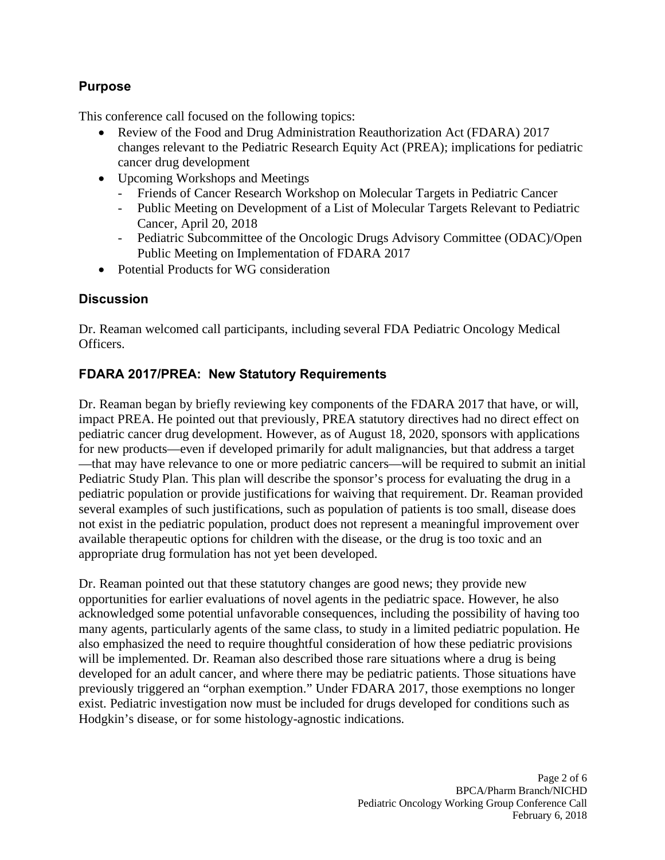#### **Purpose**

This conference call focused on the following topics:

- Review of the Food and Drug Administration Reauthorization Act (FDARA) 2017 changes relevant to the Pediatric Research Equity Act (PREA); implications for pediatric cancer drug development
- Upcoming Workshops and Meetings
	- Friends of Cancer Research Workshop on Molecular Targets in Pediatric Cancer
	- Public Meeting on Development of a List of Molecular Targets Relevant to Pediatric Cancer, April 20, 2018
	- Pediatric Subcommittee of the Oncologic Drugs Advisory Committee (ODAC)/Open Public Meeting on Implementation of FDARA 2017
- Potential Products for WG consideration

#### **Discussion**

Dr. Reaman welcomed call participants, including several FDA Pediatric Oncology Medical Officers.

#### **FDARA 2017/PREA: New Statutory Requirements**

Dr. Reaman began by briefly reviewing key components of the FDARA 2017 that have, or will, impact PREA. He pointed out that previously, PREA statutory directives had no direct effect on pediatric cancer drug development. However, as of August 18, 2020, sponsors with applications for new products—even if developed primarily for adult malignancies, but that address a target —that may have relevance to one or more pediatric cancers—will be required to submit an initial Pediatric Study Plan. This plan will describe the sponsor's process for evaluating the drug in a pediatric population or provide justifications for waiving that requirement. Dr. Reaman provided several examples of such justifications, such as population of patients is too small, disease does not exist in the pediatric population, product does not represent a meaningful improvement over available therapeutic options for children with the disease, or the drug is too toxic and an appropriate drug formulation has not yet been developed.

Dr. Reaman pointed out that these statutory changes are good news; they provide new opportunities for earlier evaluations of novel agents in the pediatric space. However, he also acknowledged some potential unfavorable consequences, including the possibility of having too many agents, particularly agents of the same class, to study in a limited pediatric population. He also emphasized the need to require thoughtful consideration of how these pediatric provisions will be implemented. Dr. Reaman also described those rare situations where a drug is being developed for an adult cancer, and where there may be pediatric patients. Those situations have previously triggered an "orphan exemption." Under FDARA 2017, those exemptions no longer exist. Pediatric investigation now must be included for drugs developed for conditions such as Hodgkin's disease, or for some histology-agnostic indications.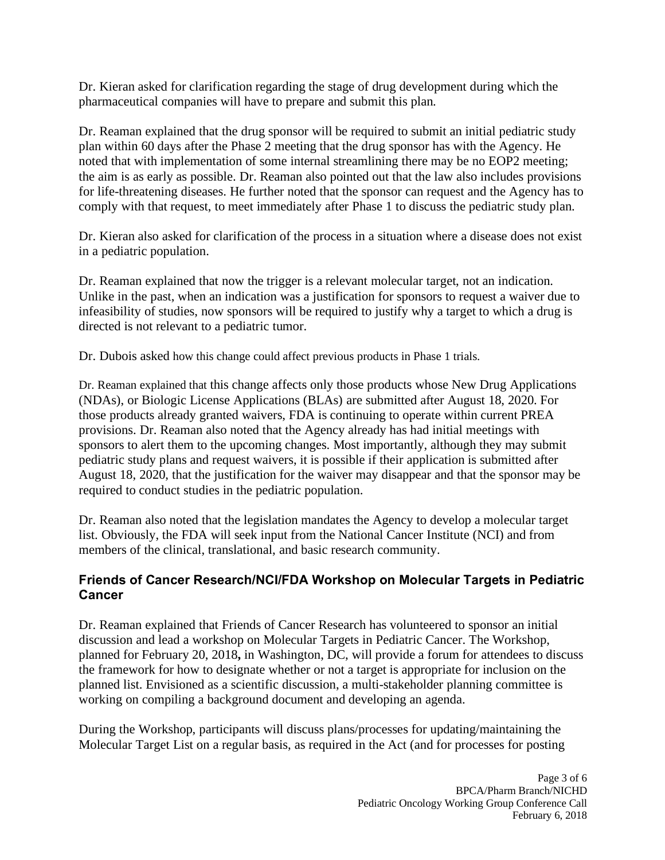Dr. Kieran asked for clarification regarding the stage of drug development during which the pharmaceutical companies will have to prepare and submit this plan.

Dr. Reaman explained that the drug sponsor will be required to submit an initial pediatric study plan within 60 days after the Phase 2 meeting that the drug sponsor has with the Agency. He noted that with implementation of some internal streamlining there may be no EOP2 meeting; the aim is as early as possible. Dr. Reaman also pointed out that the law also includes provisions for life-threatening diseases. He further noted that the sponsor can request and the Agency has to comply with that request, to meet immediately after Phase 1 to discuss the pediatric study plan.

Dr. Kieran also asked for clarification of the process in a situation where a disease does not exist in a pediatric population.

Dr. Reaman explained that now the trigger is a relevant molecular target, not an indication. Unlike in the past, when an indication was a justification for sponsors to request a waiver due to infeasibility of studies, now sponsors will be required to justify why a target to which a drug is directed is not relevant to a pediatric tumor.

Dr. Dubois asked how this change could affect previous products in Phase 1 trials.

Dr. Reaman explained that this change affects only those products whose New Drug Applications (NDAs), or Biologic License Applications (BLAs) are submitted after August 18, 2020. For those products already granted waivers, FDA is continuing to operate within current PREA provisions. Dr. Reaman also noted that the Agency already has had initial meetings with sponsors to alert them to the upcoming changes. Most importantly, although they may submit pediatric study plans and request waivers, it is possible if their application is submitted after August 18, 2020, that the justification for the waiver may disappear and that the sponsor may be required to conduct studies in the pediatric population.

Dr. Reaman also noted that the legislation mandates the Agency to develop a molecular target list. Obviously, the FDA will seek input from the National Cancer Institute (NCI) and from members of the clinical, translational, and basic research community.

# **Friends of Cancer Research/NCI/FDA Workshop on Molecular Targets in Pediatric Cancer**

Dr. Reaman explained that Friends of Cancer Research has volunteered to sponsor an initial discussion and lead a workshop on Molecular Targets in Pediatric Cancer. The Workshop, planned for February 20, 2018**,** in Washington, DC, will provide a forum for attendees to discuss the framework for how to designate whether or not a target is appropriate for inclusion on the planned list. Envisioned as a scientific discussion, a multi-stakeholder planning committee is working on compiling a background document and developing an agenda.

During the Workshop, participants will discuss plans/processes for updating/maintaining the Molecular Target List on a regular basis, as required in the Act (and for processes for posting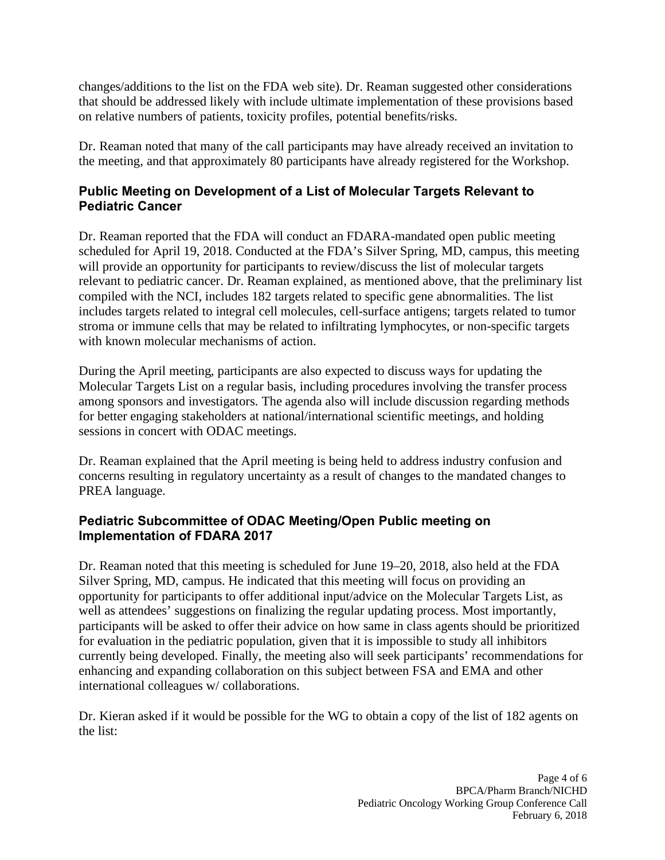changes/additions to the list on the FDA web site). Dr. Reaman suggested other considerations that should be addressed likely with include ultimate implementation of these provisions based on relative numbers of patients, toxicity profiles, potential benefits/risks.

Dr. Reaman noted that many of the call participants may have already received an invitation to the meeting, and that approximately 80 participants have already registered for the Workshop.

# **Public Meeting on Development of a List of Molecular Targets Relevant to Pediatric Cancer**

Dr. Reaman reported that the FDA will conduct an FDARA-mandated open public meeting scheduled for April 19, 2018. Conducted at the FDA's Silver Spring, MD, campus, this meeting will provide an opportunity for participants to review/discuss the list of molecular targets relevant to pediatric cancer. Dr. Reaman explained, as mentioned above, that the preliminary list compiled with the NCI, includes 182 targets related to specific gene abnormalities. The list includes targets related to integral cell molecules, cell-surface antigens; targets related to tumor stroma or immune cells that may be related to infiltrating lymphocytes, or non-specific targets with known molecular mechanisms of action.

During the April meeting, participants are also expected to discuss ways for updating the Molecular Targets List on a regular basis, including procedures involving the transfer process among sponsors and investigators. The agenda also will include discussion regarding methods for better engaging stakeholders at national/international scientific meetings, and holding sessions in concert with ODAC meetings.

Dr. Reaman explained that the April meeting is being held to address industry confusion and concerns resulting in regulatory uncertainty as a result of changes to the mandated changes to PREA language.

# **Pediatric Subcommittee of ODAC Meeting/Open Public meeting on Implementation of FDARA 2017**

Dr. Reaman noted that this meeting is scheduled for June 19–20, 2018, also held at the FDA Silver Spring, MD, campus. He indicated that this meeting will focus on providing an opportunity for participants to offer additional input/advice on the Molecular Targets List, as well as attendees' suggestions on finalizing the regular updating process. Most importantly, participants will be asked to offer their advice on how same in class agents should be prioritized for evaluation in the pediatric population, given that it is impossible to study all inhibitors currently being developed. Finally, the meeting also will seek participants' recommendations for enhancing and expanding collaboration on this subject between FSA and EMA and other international colleagues w/ collaborations.

Dr. Kieran asked if it would be possible for the WG to obtain a copy of the list of 182 agents on the list: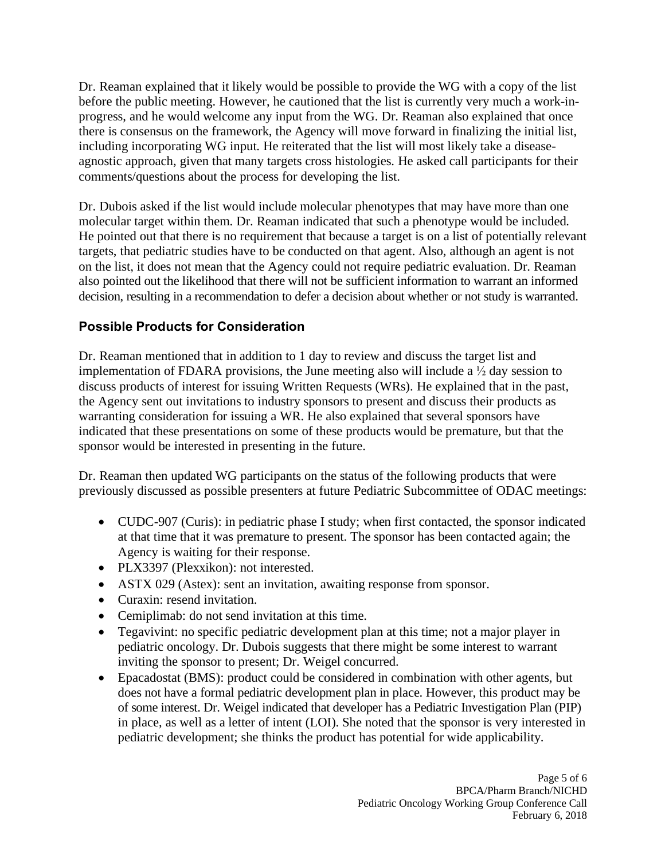Dr. Reaman explained that it likely would be possible to provide the WG with a copy of the list before the public meeting. However, he cautioned that the list is currently very much a work-inprogress, and he would welcome any input from the WG. Dr. Reaman also explained that once there is consensus on the framework, the Agency will move forward in finalizing the initial list, including incorporating WG input. He reiterated that the list will most likely take a diseaseagnostic approach, given that many targets cross histologies. He asked call participants for their comments/questions about the process for developing the list.

Dr. Dubois asked if the list would include molecular phenotypes that may have more than one molecular target within them. Dr. Reaman indicated that such a phenotype would be included. He pointed out that there is no requirement that because a target is on a list of potentially relevant targets, that pediatric studies have to be conducted on that agent. Also, although an agent is not on the list, it does not mean that the Agency could not require pediatric evaluation. Dr. Reaman also pointed out the likelihood that there will not be sufficient information to warrant an informed decision, resulting in a recommendation to defer a decision about whether or not study is warranted.

# **Possible Products for Consideration**

Dr. Reaman mentioned that in addition to 1 day to review and discuss the target list and implementation of FDARA provisions, the June meeting also will include a  $\frac{1}{2}$  day session to discuss products of interest for issuing Written Requests (WRs). He explained that in the past, the Agency sent out invitations to industry sponsors to present and discuss their products as warranting consideration for issuing a WR. He also explained that several sponsors have indicated that these presentations on some of these products would be premature, but that the sponsor would be interested in presenting in the future.

Dr. Reaman then updated WG participants on the status of the following products that were previously discussed as possible presenters at future Pediatric Subcommittee of ODAC meetings:

- CUDC-907 (Curis): in pediatric phase I study; when first contacted, the sponsor indicated at that time that it was premature to present. The sponsor has been contacted again; the Agency is waiting for their response.
- PLX3397 (Plexxikon): not interested.
- ASTX 029 (Astex): sent an invitation, awaiting response from sponsor.
- Curaxin: resend invitation.
- Cemiplimab: do not send invitation at this time.
- Tegavivint: no specific pediatric development plan at this time; not a major player in pediatric oncology. Dr. Dubois suggests that there might be some interest to warrant inviting the sponsor to present; Dr. Weigel concurred.
- Epacadostat (BMS): product could be considered in combination with other agents, but does not have a formal pediatric development plan in place. However, this product may be of some interest. Dr. Weigel indicated that developer has a Pediatric Investigation Plan (PIP) in place, as well as a letter of intent (LOI). She noted that the sponsor is very interested in pediatric development; she thinks the product has potential for wide applicability.